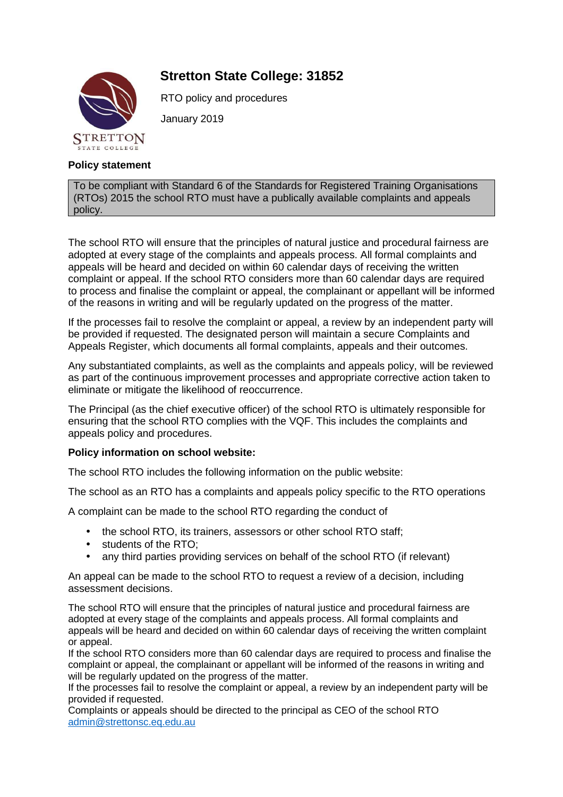# **Stretton State College: 31852**



RTO policy and procedures

January 2019

## **Policy statement**

To be compliant with Standard 6 of the Standards for Registered Training Organisations (RTOs) 2015 the school RTO must have a publically available complaints and appeals policy.

The school RTO will ensure that the principles of natural justice and procedural fairness are adopted at every stage of the complaints and appeals process. All formal complaints and appeals will be heard and decided on within 60 calendar days of receiving the written complaint or appeal. If the school RTO considers more than 60 calendar days are required to process and finalise the complaint or appeal, the complainant or appellant will be informed of the reasons in writing and will be regularly updated on the progress of the matter.

If the processes fail to resolve the complaint or appeal, a review by an independent party will be provided if requested. The designated person will maintain a secure Complaints and Appeals Register, which documents all formal complaints, appeals and their outcomes.

Any substantiated complaints, as well as the complaints and appeals policy, will be reviewed as part of the continuous improvement processes and appropriate corrective action taken to eliminate or mitigate the likelihood of reoccurrence.

The Principal (as the chief executive officer) of the school RTO is ultimately responsible for ensuring that the school RTO complies with the VQF. This includes the complaints and appeals policy and procedures.

### **Policy information on school website:**

The school RTO includes the following information on the public website:

The school as an RTO has a complaints and appeals policy specific to the RTO operations

A complaint can be made to the school RTO regarding the conduct of

- the school RTO, its trainers, assessors or other school RTO staff;
- students of the RTO:
- any third parties providing services on behalf of the school RTO (if relevant)

An appeal can be made to the school RTO to request a review of a decision, including assessment decisions.

The school RTO will ensure that the principles of natural justice and procedural fairness are adopted at every stage of the complaints and appeals process. All formal complaints and appeals will be heard and decided on within 60 calendar days of receiving the written complaint or appeal.

If the school RTO considers more than 60 calendar days are required to process and finalise the complaint or appeal, the complainant or appellant will be informed of the reasons in writing and will be regularly updated on the progress of the matter.

If the processes fail to resolve the complaint or appeal, a review by an independent party will be provided if requested.

Complaints or appeals should be directed to the principal as CEO of the school RTO admin@strettonsc.eq.edu.au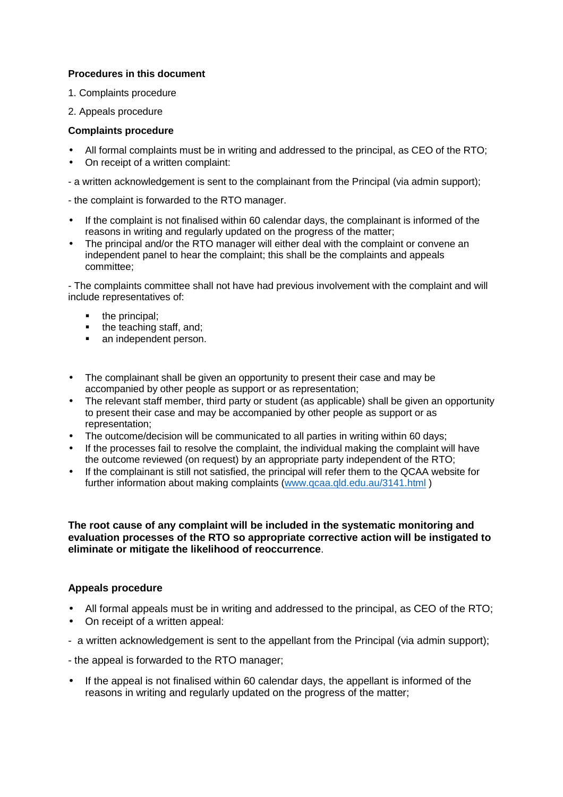### **Procedures in this document**

- 1. Complaints procedure
- 2. Appeals procedure

#### **Complaints procedure**

- All formal complaints must be in writing and addressed to the principal, as CEO of the RTO;
- On receipt of a written complaint:
- a written acknowledgement is sent to the complainant from the Principal (via admin support);

- the complaint is forwarded to the RTO manager.

- If the complaint is not finalised within 60 calendar days, the complainant is informed of the reasons in writing and regularly updated on the progress of the matter;
- The principal and/or the RTO manager will either deal with the complaint or convene an independent panel to hear the complaint; this shall be the complaints and appeals committee;

- The complaints committee shall not have had previous involvement with the complaint and will include representatives of:

- $\blacksquare$  the principal;
- $\blacksquare$  the teaching staff, and;
- an independent person.
- The complainant shall be given an opportunity to present their case and may be accompanied by other people as support or as representation;
- The relevant staff member, third party or student (as applicable) shall be given an opportunity to present their case and may be accompanied by other people as support or as representation;
- The outcome/decision will be communicated to all parties in writing within 60 days;
- If the processes fail to resolve the complaint, the individual making the complaint will have the outcome reviewed (on request) by an appropriate party independent of the RTO;
- If the complainant is still not satisfied, the principal will refer them to the QCAA website for further information about making complaints (www.qcaa.qld.edu.au/3141.html )

**The root cause of any complaint will be included in the systematic monitoring and evaluation processes of the RTO so appropriate corrective action will be instigated to eliminate or mitigate the likelihood of reoccurrence**.

### **Appeals procedure**

- All formal appeals must be in writing and addressed to the principal, as CEO of the RTO;
- On receipt of a written appeal:
- a written acknowledgement is sent to the appellant from the Principal (via admin support);

- the appeal is forwarded to the RTO manager;

• If the appeal is not finalised within 60 calendar days, the appellant is informed of the reasons in writing and regularly updated on the progress of the matter;